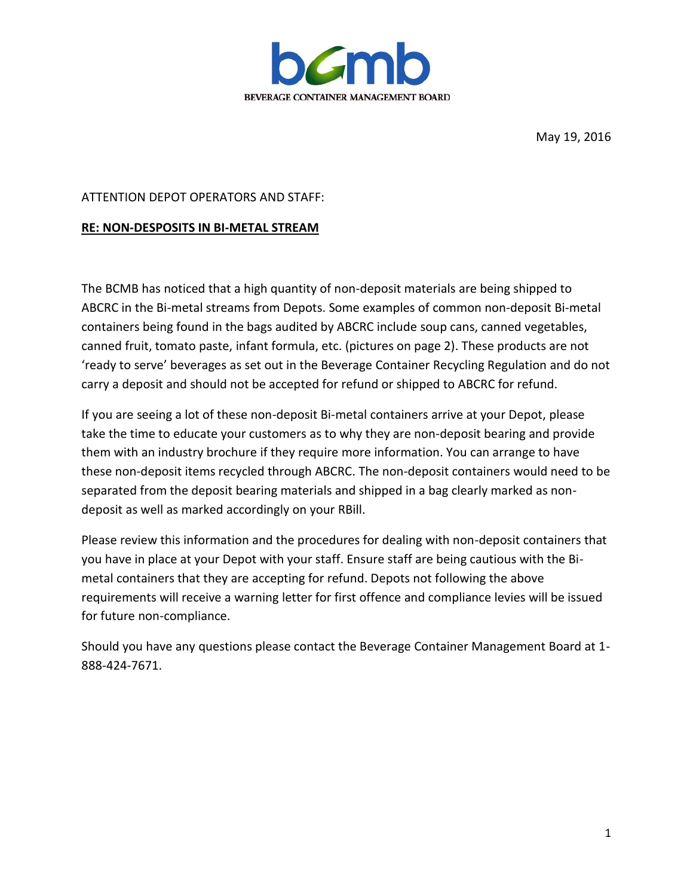

May 19, 2016

## ATTENTION DEPOT OPERATORS AND STAFF:

## **RE: NON-DESPOSITS IN BI-METAL STREAM**

The BCMB has noticed that a high quantity of non-deposit materials are being shipped to ABCRC in the Bi-metal streams from Depots. Some examples of common non-deposit Bi-metal containers being found in the bags audited by ABCRC include soup cans, canned vegetables, canned fruit, tomato paste, infant formula, etc. (pictures on page 2). These products are not 'ready to serve' beverages as set out in the Beverage Container Recycling Regulation and do not carry a deposit and should not be accepted for refund or shipped to ABCRC for refund.

If you are seeing a lot of these non-deposit Bi-metal containers arrive at your Depot, please take the time to educate your customers as to why they are non-deposit bearing and provide them with an industry brochure if they require more information. You can arrange to have these non-deposit items recycled through ABCRC. The non-deposit containers would need to be separated from the deposit bearing materials and shipped in a bag clearly marked as nondeposit as well as marked accordingly on your RBill.

Please review this information and the procedures for dealing with non-deposit containers that you have in place at your Depot with your staff. Ensure staff are being cautious with the Bimetal containers that they are accepting for refund. Depots not following the above requirements will receive a warning letter for first offence and compliance levies will be issued for future non-compliance.

Should you have any questions please contact the Beverage Container Management Board at 1- 888-424-7671.